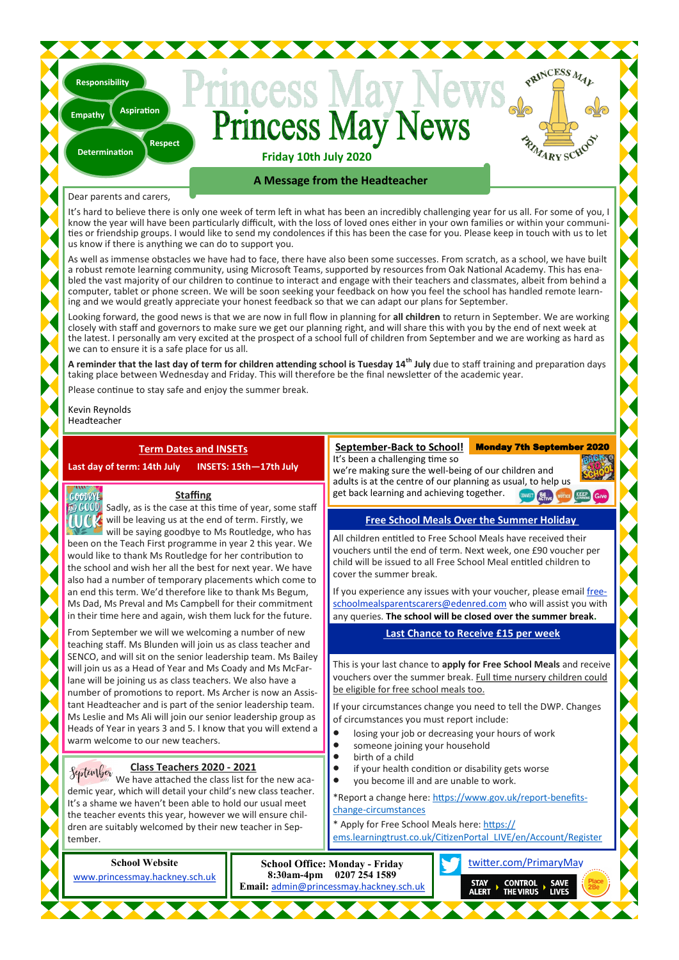# Princess May N **Friday 10th July 2020**

**Respect**

**Aspiration**

## **A Message from the Headteacher**

## Dear parents and carers,

**Determination**

**Responsibility**

**Empathy**

It's hard to believe there is only one week of term left in what has been an incredibly challenging year for us all. For some of you, I know the year will have been particularly difficult, with the loss of loved ones either in your own families or within your communities or friendship groups. I would like to send my condolences if this has been the case for you. Please keep in touch with us to let us know if there is anything we can do to support you.

As well as immense obstacles we have had to face, there have also been some successes. From scratch, as a school, we have built a robust remote learning community, using Microsoft Teams, supported by resources from Oak National Academy. This has enabled the vast majority of our children to continue to interact and engage with their teachers and classmates, albeit from behind a computer, tablet or phone screen. We will be soon seeking your feedback on how you feel the school has handled remote learning and we would greatly appreciate your honest feedback so that we can adapt our plans for September.

Looking forward, the good news is that we are now in full flow in planning for **all children** to return in September. We are working closely with staff and governors to make sure we get our planning right, and will share this with you by the end of next week at the latest. I personally am very excited at the prospect of a school full of children from September and we are working as hard as we can to ensure it is a safe place for us all.

**A reminder that the last day of term for children attending school is Tuesday 14th July** due to staff training and preparation days taking place between Wednesday and Friday. This will therefore be the final newsletter of the academic year.

Please continue to stay safe and enjoy the summer break.

Kevin Reynolds Headteacher

COODRYE.

## **Term Dates and INSETs**

**Last day of term: 14th July INSETS: 15th—17th July**

## **Staffing**

 $\overline{\mathfrak{w}}$  (COOD) Sadly, as is the case at this time of year, some staff **Will k** will be leaving us at the end of term. Firstly, we will be saying goodbye to Ms Routledge, who has been on the Teach First programme in year 2 this year. We would like to thank Ms Routledge for her contribution to the school and wish her all the best for next year. We have also had a number of temporary placements which come to an end this term. We'd therefore like to thank Ms Begum, Ms Dad, Ms Preval and Ms Campbell for their commitment in their time here and again, wish them luck for the future.

From September we will we welcoming a number of new teaching staff. Ms Blunden will join us as class teacher and SENCO, and will sit on the senior leadership team. Ms Bailey will join us as a Head of Year and Ms Coady and Ms McFarlane will be joining us as class teachers. We also have a number of promotions to report. Ms Archer is now an Assistant Headteacher and is part of the senior leadership team. Ms Leslie and Ms Ali will join our senior leadership group as Heads of Year in years 3 and 5. I know that you will extend a warm welcome to our new teachers.

#### **Class Teachers 2020 - 2021** Systember

We have attached the class list for the new academic year, which will detail your child's new class teacher. It's a shame we haven't been able to hold our usual meet the teacher events this year, however we will ensure children are suitably welcomed by their new teacher in September.

**School Website**

[www.princessmay.hackney.sch.uk](http://www.princessmay.hackney.sch.uk)

#### **September-Back to School!** It's been a challenging time so Monday 7th September 2020

PRINCESS MAL

we're making sure the well-being of our children and adults is at the centre of our planning as usual, to help us get back learning and achieving together. **BE** 

## **Free School Meals Over the Summer Holiday**

All children entitled to Free School Meals have received their vouchers until the end of term. Next week, one £90 voucher per child will be issued to all Free School Meal entitled children to cover the summer break.

If you experience any issues with your voucher, please email [free](mailto:freeschoolmealsparentscarers@edenred.com)[schoolmealsparentscarers@edenred.com](mailto:freeschoolmealsparentscarers@edenred.com) who will assist you with any queries. **The school will be closed over the summer break.**

## **Last Chance to Receive £15 per week**

This is your last chance to **apply for Free School Meals** and receive vouchers over the summer break. Full time nursery children could be eligible for free school meals too.

If your circumstances change you need to tell the DWP. Changes of circumstances you must report include:

- losing your job or decreasing your hours of work
- someone joining your household
- birth of a child

**Email:** [admin@princessmay.hackney.sch.uk](mailto:admin@princessmay.hackney.sch.uk)

- if your health condition or disability gets worse • you become ill and are unable to work.
- \*Report a change here: [https://www.gov.uk/report](https://www.gov.uk/report-benefits-change-circumstances)-benefits-

change-[circumstances](https://www.gov.uk/report-benefits-change-circumstances) \* Apply for Free School Meals here: [https://](https://ems.learningtrust.co.uk/CitizenPortal_LIVE/en/Account/Register)

- [ems.learningtrust.co.uk/CitizenPortal\\_LIVE/en/Account/Register](https://ems.learningtrust.co.uk/CitizenPortal_LIVE/en/Account/Register)
- [twitter.com/PrimaryMay](https://www.twitter.com/PrimaryMay) **School Office: Monday - Friday 8:30am-4pm 0207 254 1589**